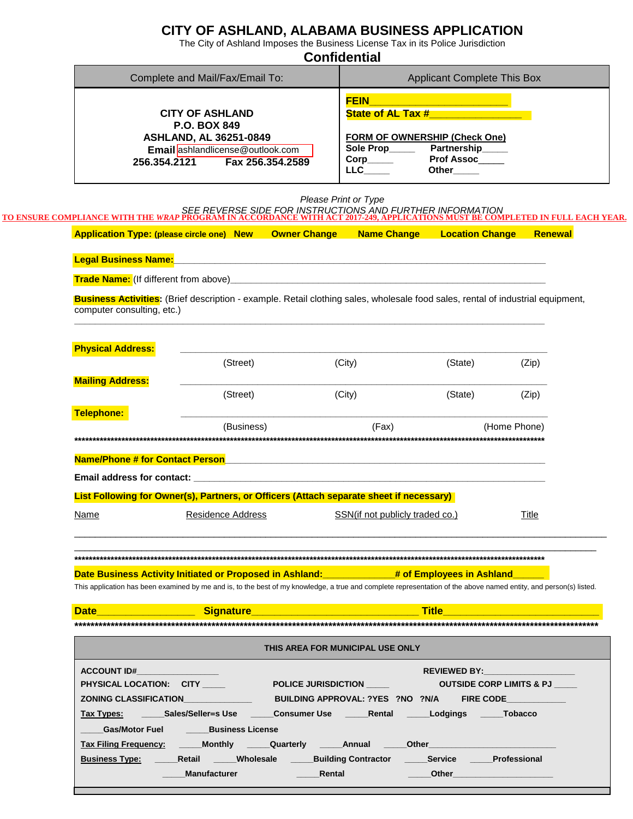### **CITY OF ASHLAND, ALABAMA BUSINESS APPLICATION**

The City of Ashland Imposes the Business License Tax in its Police Jurisdiction

|                             |                                                                                                                                                                                                                                                                                  | <b>Confidential</b>                                   |                                                                                                                             |              |
|-----------------------------|----------------------------------------------------------------------------------------------------------------------------------------------------------------------------------------------------------------------------------------------------------------------------------|-------------------------------------------------------|-----------------------------------------------------------------------------------------------------------------------------|--------------|
|                             | Complete and Mail/Fax/Email To:<br><b>Applicant Complete This Box</b>                                                                                                                                                                                                            |                                                       |                                                                                                                             |              |
| 256.354.2121                | <b>CITY OF ASHLAND</b><br><b>P.O. BOX 849</b><br><b>ASHLAND, AL 36251-0849</b><br>Email ashlandlicense@outlook.com<br>Fax 256.354.2589                                                                                                                                           | <b>FEIN</b><br>$\mathsf{Corp}\_\_\_\_\$<br><b>LLC</b> | State of AL Tax #<br><b>FORM OF OWNERSHIP (Check One)</b><br>Sole Prop________ Partnership_____<br>Prof Assoc<br>Other_____ |              |
|                             | SEE REVERSE SIDE FOR INSTRUCTIONS AND FURTHER INFORMATION<br>TO ENSURE COMPLIANCE WITH THE WRAP PROGRAM IN ACCORDANCE WITH ACT 2017-249, APPLICATIONS MUST BE COMPLETED IN FULL EACH YEAR.<br>Application Type: (please circle one) New Owner Change Name Change Location Change | Please Print or Type                                  |                                                                                                                             | Renewal      |
| <b>Legal Business Name:</b> | <u> 1989 - Johann Harry Harry Harry Harry Harry Harry Harry Harry Harry Harry Harry Harry Harry Harry Harry Harry</u>                                                                                                                                                            |                                                       |                                                                                                                             |              |
|                             |                                                                                                                                                                                                                                                                                  |                                                       |                                                                                                                             |              |
| <b>Physical Address:</b>    |                                                                                                                                                                                                                                                                                  |                                                       |                                                                                                                             |              |
|                             | (Street)                                                                                                                                                                                                                                                                         | (City)                                                | (State)                                                                                                                     | (Zip)        |
| <b>Mailing Address:</b>     | (Street)                                                                                                                                                                                                                                                                         | (City)                                                | (State)                                                                                                                     | (Zip)        |
| <b>Telephone:</b>           |                                                                                                                                                                                                                                                                                  |                                                       |                                                                                                                             |              |
|                             | (Business)                                                                                                                                                                                                                                                                       | (Fax)                                                 |                                                                                                                             | (Home Phone) |
|                             | Name/Phone # for Contact Person <b>Fig. 10.1 Phone 2016</b> Name/Phone # for Contact Person                                                                                                                                                                                      |                                                       |                                                                                                                             |              |
|                             | Email address for contact: example and a series of the series of the series of the series of the series of the                                                                                                                                                                   |                                                       |                                                                                                                             |              |
|                             | List Following for Owner(s), Partners, or Officers (Attach separate sheet if necessary)                                                                                                                                                                                          |                                                       |                                                                                                                             |              |
| <u>Name</u>                 | Residence Address                                                                                                                                                                                                                                                                | SSN(if not publicly traded co.)                       |                                                                                                                             | <b>Title</b> |
|                             |                                                                                                                                                                                                                                                                                  |                                                       |                                                                                                                             |              |
|                             | Date Business Activity Initiated or Proposed in Ashland:                                                                                                                                                                                                                         |                                                       | _# of Employees in Ashland                                                                                                  |              |
|                             | This application has been examined by me and is, to the best of my knowledge, a true and complete representation of the above named entity, and person(s) listed.                                                                                                                |                                                       |                                                                                                                             |              |

| ACCOUNT ID# ACCOUNT ID#                                                                                        |                            | <b>REVIEWED BY:</b> New York 1999                                                                                     |  |  |  |
|----------------------------------------------------------------------------------------------------------------|----------------------------|-----------------------------------------------------------------------------------------------------------------------|--|--|--|
| PHYSICAL LOCATION: CITY                                                                                        |                            |                                                                                                                       |  |  |  |
| <b>ZONING CLASSIFICATION</b>                                                                                   |                            | BUILDING APPROVAL: ?YES ?NO ?N/A FIRE CODE                                                                            |  |  |  |
|                                                                                                                |                            |                                                                                                                       |  |  |  |
| Gas/Motor Fuel Business License                                                                                |                            |                                                                                                                       |  |  |  |
| Tax Filing Frequency: Monthly Quarterly Annual Other Chern Communication Communication Chern Chern Chern Chern |                            |                                                                                                                       |  |  |  |
| Business Type: Retail Wholesale Building Contractor Service Professional                                       |                            |                                                                                                                       |  |  |  |
| <b>Manufacturer</b>                                                                                            | <b>Example 2019 Rental</b> | <b>Example 20 Other Contracts and Contracts and Contracts and Contracts and Contracts and Contracts and Contracts</b> |  |  |  |